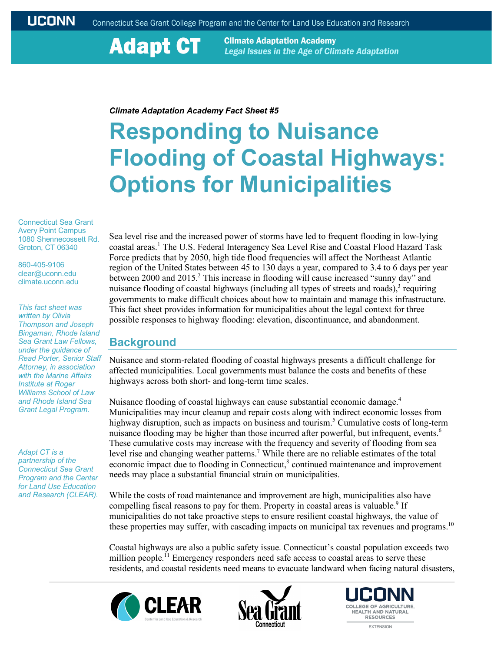**Adapt CT** 

**Climate Adaptation Academy** Legal Issues in the Age of Climate Adaptation

#### *Climate Adaptation Academy Fact Sheet #5*

# **Responding to Nuisance Flooding of Coastal Highways: Options for Municipalities**

Connecticut Sea Grant Avery Point Campus 1080 Shennecossett Rd. Groton, CT 06340

860-405-9106 clear@uconn.edu climate.uconn.edu

*This fact sheet was written by Olivia Thompson and Joseph Bingaman, Rhode Island Sea Grant Law Fellows, under the guidance of Read Porter, Senior Staff Attorney, in association with the Marine Affairs Institute at Roger Williams School of Law and Rhode Island Sea Grant Legal Program.*

*Adapt CT is a partnership of the Connecticut Sea Grant Program and the Center for Land Use Education and Research (CLEAR).*

Sea level rise and the increased power of storms have led to frequent flooding in low-lying coastal areas.<sup>1</sup> The U.S. Federal Interagency Sea Level Rise and Coastal Flood Hazard Task Force predicts that by 2050, high tide flood frequencies will affect the Northeast Atlantic region of the United States between 45 to 130 days a year, compared to 3.4 to 6 days per year between 2000 and 2015.<sup>2</sup> This increase in flooding will cause increased "sunny day" and nuisance flooding of coastal highways (including all types of streets and roads), $3$  requiring governments to make difficult choices about how to maintain and manage this infrastructure. This fact sheet provides information for municipalities about the legal context for three possible responses to highway flooding: elevation, discontinuance, and abandonment.

#### **Background**

Nuisance and storm-related flooding of coastal highways presents a difficult challenge for affected municipalities. Local governments must balance the costs and benefits of these highways across both short- and long-term time scales.

Nuisance flooding of coastal highways can cause substantial economic damage.<sup>4</sup> Municipalities may incur cleanup and repair costs along with indirect economic losses from highway disruption, such as impacts on business and tourism.<sup>5</sup> Cumulative costs of long-term nuisance flooding may be higher than those incurred after powerful, but infrequent, events.<sup>6</sup> These cumulative costs may increase with the frequency and severity of flooding from sea level rise and changing weather patterns. <sup>7</sup> While there are no reliable estimates of the total economic impact due to flooding in Connecticut,<sup>8</sup> continued maintenance and improvement needs may place a substantial financial strain on municipalities.

While the costs of road maintenance and improvement are high, municipalities also have compelling fiscal reasons to pay for them. Property in coastal areas is valuable.<sup>9</sup> If municipalities do not take proactive steps to ensure resilient coastal highways, the value of these properties may suffer, with cascading impacts on municipal tax revenues and programs.<sup>10</sup>

Coastal highways are also a public safety issue. Connecticut's coastal population exceeds two million people.<sup>11</sup> Emergency responders need safe access to coastal areas to serve these residents, and coastal residents need means to evacuate landward when facing natural disasters,





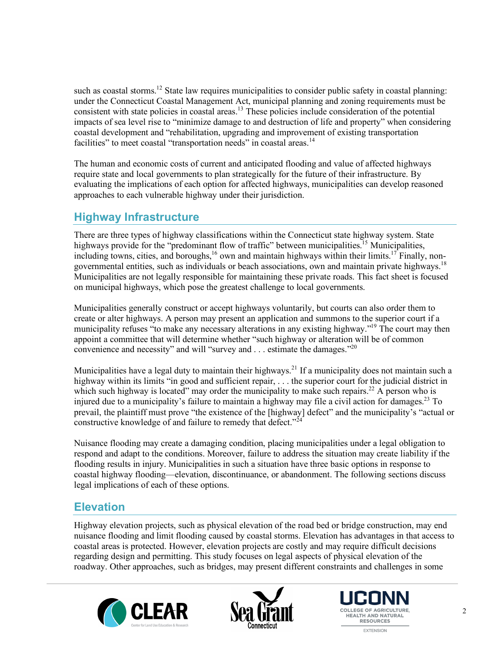such as coastal storms.<sup>12</sup> State law requires municipalities to consider public safety in coastal planning: under the Connecticut Coastal Management Act, municipal planning and zoning requirements must be consistent with state policies in coastal areas.<sup>13</sup> These policies include consideration of the potential impacts of sea level rise to "minimize damage to and destruction of life and property" when considering coastal development and "rehabilitation, upgrading and improvement of existing transportation facilities" to meet coastal "transportation needs" in coastal areas.<sup>14</sup>

The human and economic costs of current and anticipated flooding and value of affected highways require state and local governments to plan strategically for the future of their infrastructure. By evaluating the implications of each option for affected highways, municipalities can develop reasoned approaches to each vulnerable highway under their jurisdiction.

# **Highway Infrastructure**

There are three types of highway classifications within the Connecticut state highway system. State highways provide for the "predominant flow of traffic" between municipalities.<sup>15</sup> Municipalities, including towns, cities, and boroughs,<sup>16</sup> own and maintain highways within their limits.<sup>17</sup> Finally, nongovernmental entities, such as individuals or beach associations, own and maintain private highways.18 Municipalities are not legally responsible for maintaining these private roads. This fact sheet is focused on municipal highways, which pose the greatest challenge to local governments.

Municipalities generally construct or accept highways voluntarily, but courts can also order them to create or alter highways. A person may present an application and summons to the superior court if a municipality refuses "to make any necessary alterations in any existing highway."19 The court may then appoint a committee that will determine whether "such highway or alteration will be of common convenience and necessity" and will "survey and . . . estimate the damages."20

Municipalities have a legal duty to maintain their highways.<sup>21</sup> If a municipality does not maintain such a highway within its limits "in good and sufficient repair, . . . the superior court for the judicial district in which such highway is located" may order the municipality to make such repairs.<sup>22</sup> A person who is injured due to a municipality's failure to maintain a highway may file a civil action for damages.<sup>23</sup> To prevail, the plaintiff must prove "the existence of the [highway] defect" and the municipality's "actual or constructive knowledge of and failure to remedy that defect."<sup>24</sup>

Nuisance flooding may create a damaging condition, placing municipalities under a legal obligation to respond and adapt to the conditions. Moreover, failure to address the situation may create liability if the flooding results in injury. Municipalities in such a situation have three basic options in response to coastal highway flooding—elevation, discontinuance, or abandonment. The following sections discuss legal implications of each of these options.

### **Elevation**

Highway elevation projects, such as physical elevation of the road bed or bridge construction, may end nuisance flooding and limit flooding caused by coastal storms. Elevation has advantages in that access to coastal areas is protected. However, elevation projects are costly and may require difficult decisions regarding design and permitting. This study focuses on legal aspects of physical elevation of the roadway. Other approaches, such as bridges, may present different constraints and challenges in some





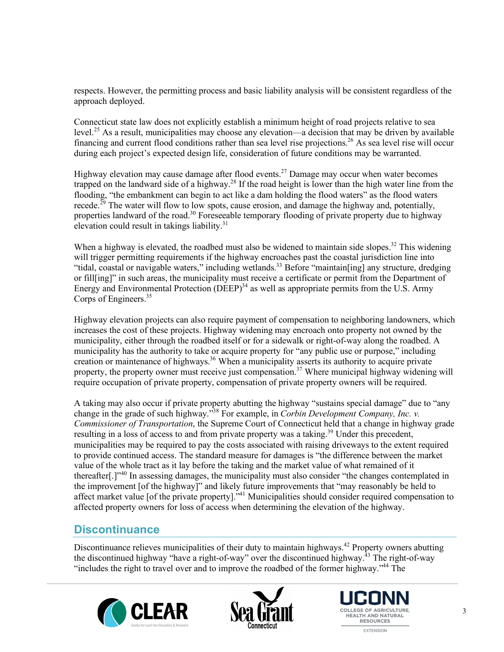respects. However, the permitting process and basic liability analysis will be consistent regardless of the approach deployed.

Connecticut state law does not explicitly establish a minimum height of road projects relative to sea level.<sup>25</sup> As a result, municipalities may choose any elevation—a decision that may be driven by available financing and current flood conditions rather than sea level rise projections.<sup>26</sup> As sea level rise will occur during each project's expected design life, consideration of future conditions may be warranted.

Highway elevation may cause damage after flood events.27 Damage may occur when water becomes trapped on the landward side of a highway.<sup>28</sup> If the road height is lower than the high water line from the flooding, "the embankment can begin to act like a dam holding the flood waters" as the flood waters recede.<sup>29</sup> The water will flow to low spots, cause erosion, and damage the highway and, potentially, properties landward of the road.<sup>30</sup> Foreseeable temporary flooding of private property due to highway elevation could result in takings liability.31

When a highway is elevated, the roadbed must also be widened to maintain side slopes.<sup>32</sup> This widening will trigger permitting requirements if the highway encroaches past the coastal jurisdiction line into "tidal, coastal or navigable waters," including wetlands.<sup>33</sup> Before "maintain[ing] any structure, dredging or fill[ing]" in such areas, the municipality must receive a certificate or permit from the Department of Energy and Environmental Protection  $(DEEP)^{34}$  as well as appropriate permits from the U.S. Army Corps of Engineers.<sup>35</sup>

Highway elevation projects can also require payment of compensation to neighboring landowners, which increases the cost of these projects. Highway widening may encroach onto property not owned by the municipality, either through the roadbed itself or for a sidewalk or right-of-way along the roadbed. A municipality has the authority to take or acquire property for "any public use or purpose," including creation or maintenance of highways.<sup>36</sup> When a municipality asserts its authority to acquire private property, the property owner must receive just compensation.<sup>37</sup> Where municipal highway widening will require occupation of private property, compensation of private property owners will be required.

A taking may also occur if private property abutting the highway "sustains special damage" due to "any change in the grade of such highway."38 For example, in *Corbin Development Company, Inc. v. Commissioner of Transportation*, the Supreme Court of Connecticut held that a change in highway grade resulting in a loss of access to and from private property was a taking.<sup>39</sup> Under this precedent, municipalities may be required to pay the costs associated with raising driveways to the extent required to provide continued access. The standard measure for damages is "the difference between the market value of the whole tract as it lay before the taking and the market value of what remained of it thereafter[.]"<sup>40</sup> In assessing damages, the municipality must also consider "the changes contemplated in the improvement [of the highway]" and likely future improvements that "may reasonably be held to affect market value [of the private property].<sup>"41</sup> Municipalities should consider required compensation to affected property owners for loss of access when determining the elevation of the highway.

### **Discontinuance**

Discontinuance relieves municipalities of their duty to maintain highways.<sup>42</sup> Property owners abutting the discontinued highway "have a right-of-way" over the discontinued highway.<sup> $43$ </sup> The right-of-way "includes the right to travel over and to improve the roadbed of the former highway."44 The







3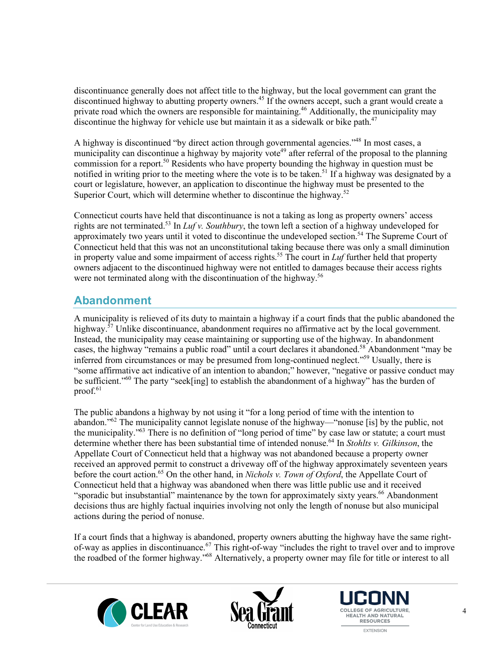discontinuance generally does not affect title to the highway, but the local government can grant the discontinued highway to abutting property owners.<sup>45</sup> If the owners accept, such a grant would create a private road which the owners are responsible for maintaining.<sup>46</sup> Additionally, the municipality may discontinue the highway for vehicle use but maintain it as a sidewalk or bike path. $47$ 

A highway is discontinued "by direct action through governmental agencies."<sup>48</sup> In most cases, a municipality can discontinue a highway by majority vote<sup>49</sup> after referral of the proposal to the planning commission for a report.<sup>50</sup> Residents who have property bounding the highway in question must be notified in writing prior to the meeting where the vote is to be taken.<sup>51</sup> If a highway was designated by a court or legislature, however, an application to discontinue the highway must be presented to the Superior Court, which will determine whether to discontinue the highway.<sup>52</sup>

Connecticut courts have held that discontinuance is not a taking as long as property owners' access rights are not terminated.53 In *Luf v. Southbury*, the town left a section of a highway undeveloped for approximately two years until it voted to discontinue the undeveloped section.<sup>54</sup> The Supreme Court of Connecticut held that this was not an unconstitutional taking because there was only a small diminution in property value and some impairment of access rights.55 The court in *Luf* further held that property owners adjacent to the discontinued highway were not entitled to damages because their access rights were not terminated along with the discontinuation of the highway.<sup>56</sup>

# **Abandonment**

A municipality is relieved of its duty to maintain a highway if a court finds that the public abandoned the highway.<sup>57</sup> Unlike discontinuance, abandonment requires no affirmative act by the local government. Instead, the municipality may cease maintaining or supporting use of the highway. In abandonment cases, the highway "remains a public road" until a court declares it abandoned.<sup>58</sup> Abandonment "may be inferred from circumstances or may be presumed from long-continued neglect."59 Usually, there is "some affirmative act indicative of an intention to abandon;" however, "negative or passive conduct may be sufficient."<sup>60</sup> The party "seek[ing] to establish the abandonment of a highway" has the burden of proof. $61$ 

The public abandons a highway by not using it "for a long period of time with the intention to abandon."62 The municipality cannot legislate nonuse of the highway—"nonuse [is] by the public, not the municipality."63 There is no definition of "long period of time" by case law or statute; a court must determine whether there has been substantial time of intended nonuse.64 In *Stohlts v. Gilkinson*, the Appellate Court of Connecticut held that a highway was not abandoned because a property owner received an approved permit to construct a driveway off of the highway approximately seventeen years before the court action.<sup>65</sup> On the other hand, in *Nichols v. Town of Oxford*, the Appellate Court of Connecticut held that a highway was abandoned when there was little public use and it received "sporadic but insubstantial" maintenance by the town for approximately sixty years.<sup>66</sup> Abandonment decisions thus are highly factual inquiries involving not only the length of nonuse but also municipal actions during the period of nonuse.

If a court finds that a highway is abandoned, property owners abutting the highway have the same rightof-way as applies in discontinuance.<sup>67</sup> This right-of-way "includes the right to travel over and to improve the roadbed of the former highway."68 Alternatively, a property owner may file for title or interest to all





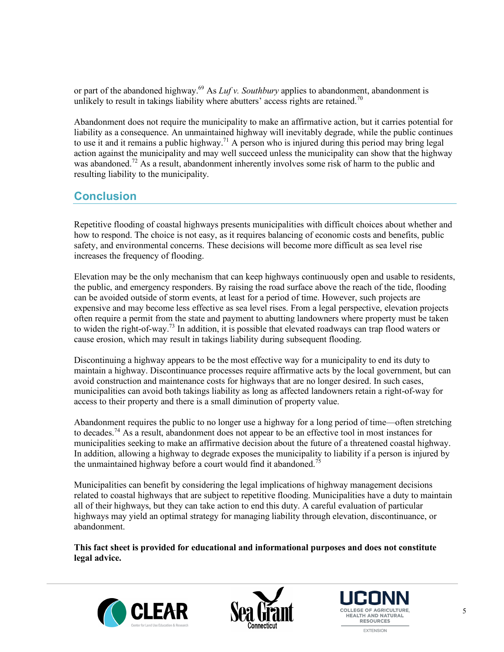or part of the abandoned highway.<sup>69</sup> As *Luf v. Southbury* applies to abandonment, abandonment is unlikely to result in takings liability where abutters' access rights are retained.<sup>70</sup>

Abandonment does not require the municipality to make an affirmative action, but it carries potential for liability as a consequence. An unmaintained highway will inevitably degrade, while the public continues to use it and it remains a public highway.<sup>71</sup> A person who is injured during this period may bring legal action against the municipality and may well succeed unless the municipality can show that the highway was abandoned.<sup>72</sup> As a result, abandonment inherently involves some risk of harm to the public and resulting liability to the municipality.

# **Conclusion**

Repetitive flooding of coastal highways presents municipalities with difficult choices about whether and how to respond. The choice is not easy, as it requires balancing of economic costs and benefits, public safety, and environmental concerns. These decisions will become more difficult as sea level rise increases the frequency of flooding.

Elevation may be the only mechanism that can keep highways continuously open and usable to residents, the public, and emergency responders. By raising the road surface above the reach of the tide, flooding can be avoided outside of storm events, at least for a period of time. However, such projects are expensive and may become less effective as sea level rises. From a legal perspective, elevation projects often require a permit from the state and payment to abutting landowners where property must be taken to widen the right-of-way.73 In addition, it is possible that elevated roadways can trap flood waters or cause erosion, which may result in takings liability during subsequent flooding.

Discontinuing a highway appears to be the most effective way for a municipality to end its duty to maintain a highway. Discontinuance processes require affirmative acts by the local government, but can avoid construction and maintenance costs for highways that are no longer desired. In such cases, municipalities can avoid both takings liability as long as affected landowners retain a right-of-way for access to their property and there is a small diminution of property value.

Abandonment requires the public to no longer use a highway for a long period of time—often stretching to decades.<sup>74</sup> As a result, abandonment does not appear to be an effective tool in most instances for municipalities seeking to make an affirmative decision about the future of a threatened coastal highway. In addition, allowing a highway to degrade exposes the municipality to liability if a person is injured by the unmaintained highway before a court would find it abandoned.<sup>75</sup>

Municipalities can benefit by considering the legal implications of highway management decisions related to coastal highways that are subject to repetitive flooding. Municipalities have a duty to maintain all of their highways, but they can take action to end this duty. A careful evaluation of particular highways may yield an optimal strategy for managing liability through elevation, discontinuance, or abandonment.

**This fact sheet is provided for educational and informational purposes and does not constitute legal advice.**





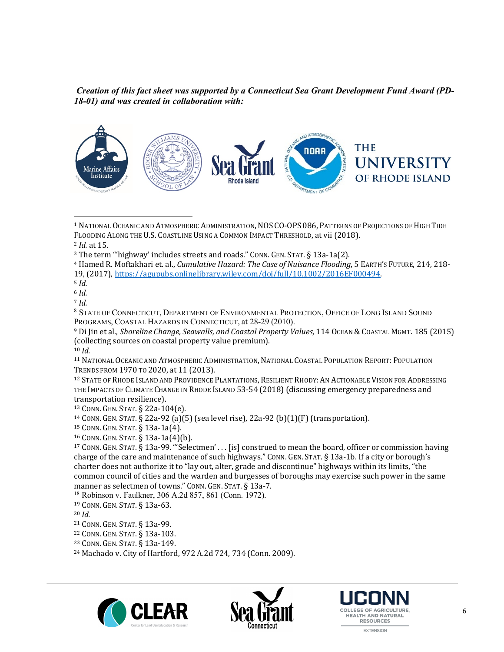*Creation of this fact sheet was supported by a Connecticut Sea Grant Development Fund Award (PD-18-01) and was created in collaboration with:*



<sup>&</sup>lt;sup>1</sup> NATIONAL OCEANIC AND ATMOSPHERIC ADMINISTRATION, NOS CO-OPS 086, PATTERNS OF PROJECTIONS OF HIGH TIDE FLOODING ALONG THE U.S. COASTLINE USING A COMMON IMPACT THRESHOLD, at vii (2018).

l

<sup>9</sup> Di Jin et al., *Shoreline Change, Seawalls, and Coastal Property Values*, 114 OCEAN & COASTAL MGMT. 185 (2015) (collecting sources on coastal property value premium).

<sup>10</sup> *Id.*

<sup>11</sup> NATIONAL OCEANIC AND ATMOSPHERIC ADMINISTRATION, NATIONAL COASTAL POPULATION REPORT: POPULATION TRENDS FROM 1970 TO 2020, at 11 (2013).

<sup>12</sup> STATE OF RHODE ISLAND AND PROVIDENCE PLANTATIONS, RESILIENT RHODY: AN ACTIONABLE VISION FOR ADDRESSING THE IMPACTS OF CLIMATE CHANGE IN RHODE ISLAND 53-54 (2018) (discussing emergency preparedness and transportation resilience).

<sup>13</sup> CONN. GEN. STAT. § 22a-104(e).

<sup>14</sup> CONN. GEN. STAT. § 22a-92 (a)(5) (sea level rise), 22a-92 (b)(1)(F) (transportation).

<sup>15</sup> CONN. GEN. STAT. § 13a-1a(4).

 $16$  CONN. GEN. STAT. § 13a-1a(4)(b).

 $17$  CONN. GEN. STAT. § 13a-99. "'Selectmen' ... [is] construed to mean the board, officer or commission having charge of the care and maintenance of such highways." CONN. GEN. STAT. § 13a-1b. If a city or borough's charter does not authorize it to "lay out, alter, grade and discontinue" highways within its limits, "the common council of cities and the warden and burgesses of boroughs may exercise such power in the same manner as selectmen of towns." CONN. GEN. STAT. § 13a-7.

<sup>18</sup> Robinson v. Faulkner, 306 A.2d 857, 861 (Conn. 1972).

<sup>22</sup> CONN. GEN. STAT. § 13a-103.

<sup>24</sup> Machado v. City of Hartford, 972 A.2d 724, 734 (Conn. 2009).







<sup>2</sup> *Id.* at 15.

 $3$  The term "'highway' includes streets and roads." CONN. GEN. STAT. § 13a-1a(2).

<sup>&</sup>lt;sup>4</sup> Hamed R. Moftakhari et. al., *Cumulative Hazard: The Case of Nuisance Flooding*, 5 EARTH'S FUTURE, 214, 218-19, (2017), https://agupubs.onlinelibrary.wiley.com/doi/full/10.1002/2016EF000494.

<sup>5</sup> *Id.*

<sup>6</sup> *Id.*

<sup>7</sup> *Id.*

<sup>8</sup> STATE OF CONNECTICUT, DEPARTMENT OF ENVIRONMENTAL PROTECTION, OFFICE OF LONG ISLAND SOUND PROGRAMS, COASTAL HAZARDS IN CONNECTICUT, at 28-29 (2010).

<sup>19</sup> CONN. GEN. STAT. § 13a-63.

<sup>20</sup> *Id.*

<sup>21</sup> CONN. GEN. STAT. § 13a-99.

<sup>23</sup> CONN. GEN. STAT. § 13a-149.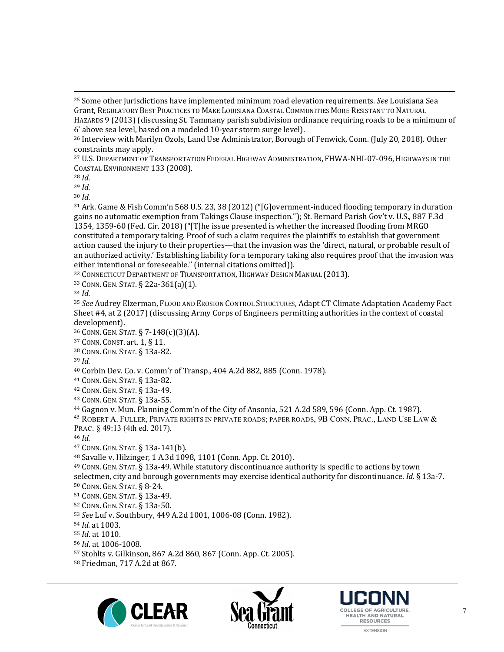<sup>27</sup> U.S. DEPARTMENT OF TRANSPORTATION FEDERAL HIGHWAY ADMINISTRATION, FHWA-NHI-07-096, HIGHWAYS IN THE COASTAL ENVIRONMENT 133 (2008).

<sup>28</sup> *Id.*

 $\overline{a}$ 

<sup>29</sup> *Id.*

<sup>30</sup> *Id.*

<sup>31</sup> Ark. Game & Fish Comm'n 568 U.S. 23, 38 (2012) ("[G]overnment-induced flooding temporary in duration gains no automatic exemption from Takings Clause inspection."); St. Bernard Parish Gov't v. U.S., 887 F.3d 1354, 1359-60 (Fed. Cir. 2018) ("[T]he issue presented is whether the increased flooding from MRGO constituted a temporary taking. Proof of such a claim requires the plaintiffs to establish that government action caused the injury to their properties—that the invasion was the 'direct, natural, or probable result of an authorized activity.' Establishing liability for a temporary taking also requires proof that the invasion was either intentional or foreseeable." (internal citations omitted)).

32 CONNECTICUT DEPARTMENT OF TRANSPORTATION, HIGHWAY DESIGN MANUAL (2013).

33 CONN. GEN. STAT. § 22a-361(a)(1).

<sup>34</sup> *Id.*

35 See Audrey Elzerman, FLOOD AND EROSION CONTROL STRUCTURES, Adapt CT Climate Adaptation Academy Fact Sheet  $#4$ , at  $2(2017)$  (discussing Army Corps of Engineers permitting authorities in the context of coastal development).

36 CONN. GEN. STAT. § 7-148(c)(3)(A).

<sup>37</sup> CONN. CONST. art. 1, § 11.

38 CONN. GEN. STAT. § 13a-82.

<sup>39</sup> *Id.*

40 Corbin Dev. Co. v. Comm'r of Transp., 404 A.2d 882, 885 (Conn. 1978).

<sup>41</sup> CONN. GEN. STAT. § 13a-82.

<sup>42</sup> CONN. GEN. STAT. § 13a-49.

<sup>43</sup> CONN. GEN. STAT. § 13a-55.

<sup>44</sup> Gagnon v. Mun. Planning Comm'n of the City of Ansonia, 521 A.2d 589, 596 (Conn. App. Ct. 1987).

 $^{45}$  Robert A. Fuller, Private rights in private roads; paper roads, 9B Conn. Prac., Land Use Law  $\&$ PRAC. § 49:13 (4th ed. 2017).

<sup>46</sup> *Id.*

<sup>47</sup> CONN. GEN. STAT. § 13a-141(b).

48 Savalle v. Hilzinger, 1 A.3d 1098, 1101 (Conn. App. Ct. 2010).

 $49$  CONN. GEN. STAT. § 13a-49. While statutory discontinuance authority is specific to actions by town selectmen, city and borough governments may exercise identical authority for discontinuance. *Id.* § 13a-7.

<sup>50</sup> CONN. GEN. STAT. § 8-24.

<sup>51</sup> CONN. GEN. STAT. § 13a-49. 

<sup>52</sup> CONN. GEN. STAT. § 13a-50.

53 *See* Luf v. Southbury, 449 A.2d 1001, 1006-08 (Conn. 1982).

54 *Id.* at 1003.

<sup>55</sup> *Id*. at 1010.

56 *Id.* at 1006-1008.

57 Stohlts v. Gilkinson, 867 A.2d 860, 867 (Conn. App. Ct. 2005).

58 Friedman, 717 A.2d at 867.







<sup>&</sup>lt;sup>25</sup> Some other jurisdictions have implemented minimum road elevation requirements. *See* Louisiana Sea Grant, REGULATORY BEST PRACTICES TO MAKE LOUISIANA COASTAL COMMUNITIES MORE RESISTANT TO NATURAL HAZARDS 9 (2013) (discussing St. Tammany parish subdivision ordinance requiring roads to be a minimum of 6' above sea level, based on a modeled 10-year storm surge level).

<sup>&</sup>lt;sup>26</sup> Interview with Marilyn Ozols, Land Use Administrator, Borough of Fenwick, Conn. (July 20, 2018). Other constraints may apply.